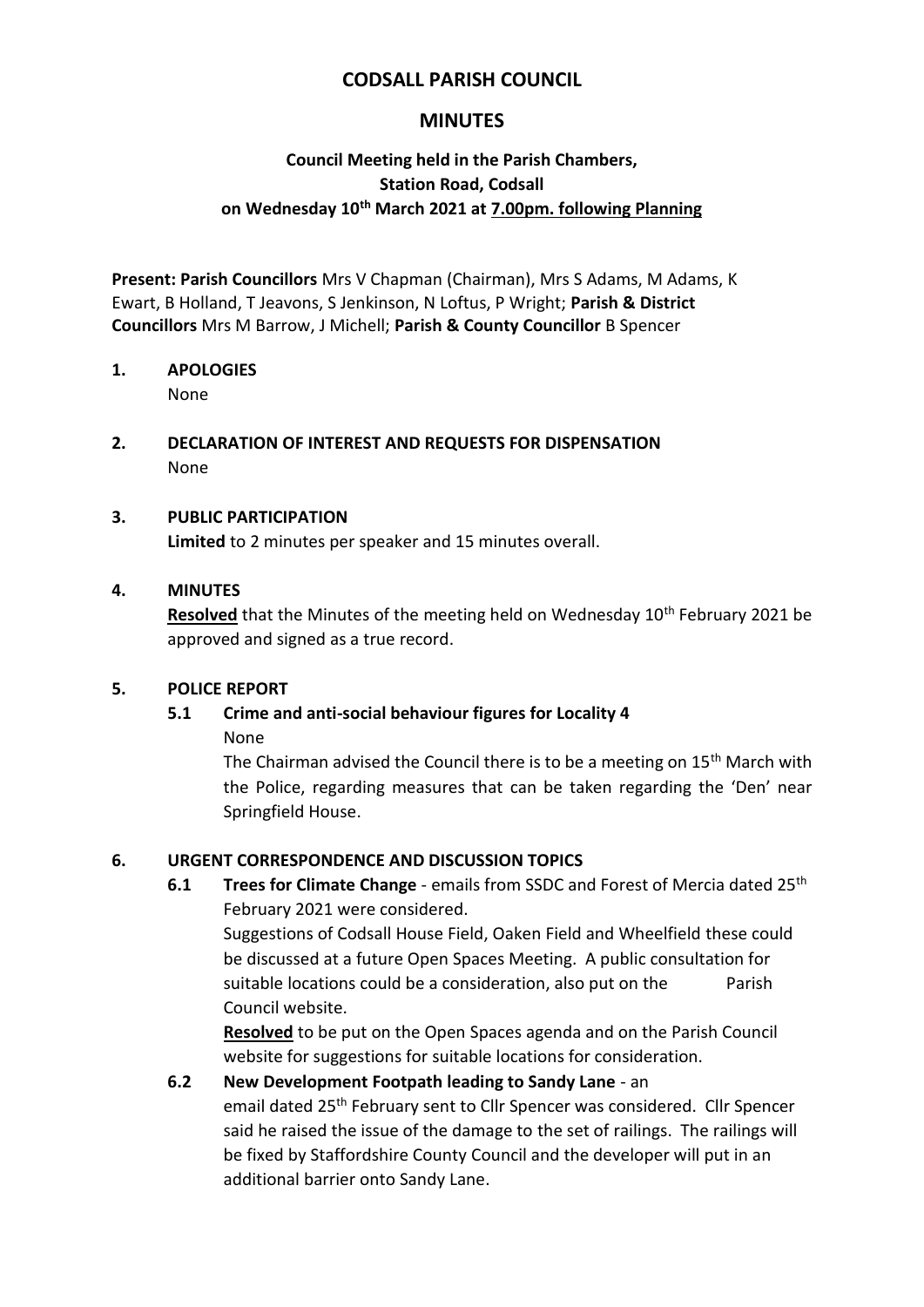## **CODSALL PARISH COUNCIL**

## **MINUTES**

## **Council Meeting held in the Parish Chambers, Station Road, Codsall on Wednesday 10th March 2021 at 7.00pm. following Planning**

**Present: Parish Councillors** Mrs V Chapman (Chairman), Mrs S Adams, M Adams, K Ewart, B Holland, T Jeavons, S Jenkinson, N Loftus, P Wright; **Parish & District Councillors** Mrs M Barrow, J Michell; **Parish & County Councillor** B Spencer

## **1. APOLOGIES**

None

## **2. DECLARATION OF INTEREST AND REQUESTS FOR DISPENSATION** None

## **3. PUBLIC PARTICIPATION**

**Limited** to 2 minutes per speaker and 15 minutes overall.

#### **4. MINUTES**

**Resolved** that the Minutes of the meeting held on Wednesday 10<sup>th</sup> February 2021 be approved and signed as a true record.

#### **5. POLICE REPORT**

# **5.1 Crime and anti-social behaviour figures for Locality 4**

None

The Chairman advised the Council there is to be a meeting on  $15<sup>th</sup>$  March with the Police, regarding measures that can be taken regarding the 'Den' near Springfield House.

## **6. URGENT CORRESPONDENCE AND DISCUSSION TOPICS**

**6.1 Trees for Climate Change** - emails from SSDC and Forest of Mercia dated 25th February 2021 were considered.

Suggestions of Codsall House Field, Oaken Field and Wheelfield these could be discussed at a future Open Spaces Meeting. A public consultation for suitable locations could be a consideration, also put on the Parish Council website.

**Resolved** to be put on the Open Spaces agenda and on the Parish Council website for suggestions for suitable locations for consideration.

## **6.2 New Development Footpath leading to Sandy Lane** - an

email dated 25<sup>th</sup> February sent to Cllr Spencer was considered. Cllr Spencer said he raised the issue of the damage to the set of railings. The railings will be fixed by Staffordshire County Council and the developer will put in an additional barrier onto Sandy Lane.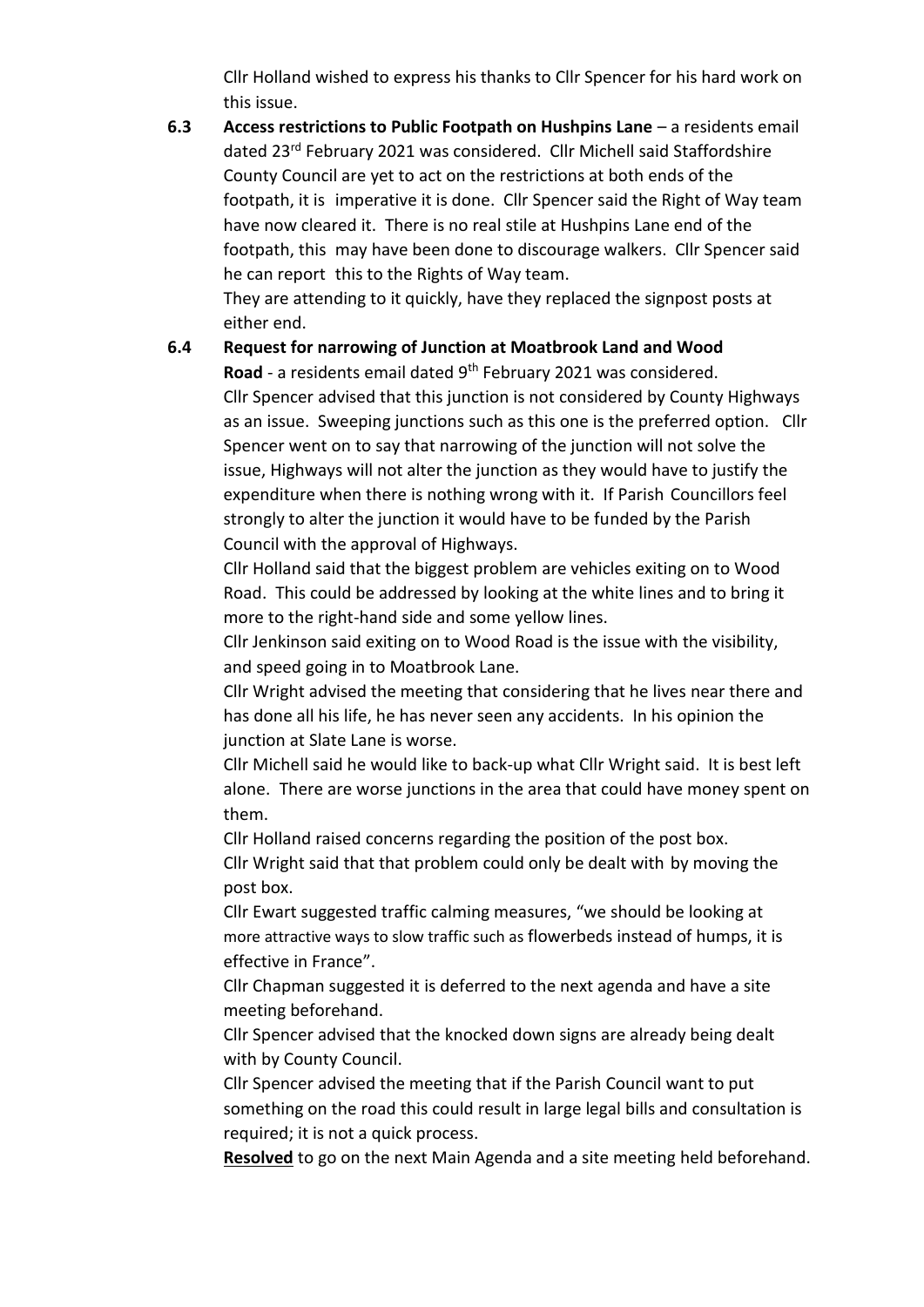Cllr Holland wished to express his thanks to Cllr Spencer for his hard work on this issue.

**6.3 Access restrictions to Public Footpath on Hushpins Lane** – a residents email dated 23rd February 2021 was considered. Cllr Michell said Staffordshire County Council are yet to act on the restrictions at both ends of the footpath, it is imperative it is done. Cllr Spencer said the Right of Way team have now cleared it. There is no real stile at Hushpins Lane end of the footpath, this may have been done to discourage walkers. Cllr Spencer said he can report this to the Rights of Way team. They are attending to it quickly, have they replaced the signpost posts at

either end.

## **6.4 Request for narrowing of Junction at Moatbrook Land and Wood**

Road - a residents email dated 9<sup>th</sup> February 2021 was considered. Cllr Spencer advised that this junction is not considered by County Highways as an issue. Sweeping junctions such as this one is the preferred option. Cllr Spencer went on to say that narrowing of the junction will not solve the issue, Highways will not alter the junction as they would have to justify the expenditure when there is nothing wrong with it. If Parish Councillors feel strongly to alter the junction it would have to be funded by the Parish Council with the approval of Highways.

Cllr Holland said that the biggest problem are vehicles exiting on to Wood Road. This could be addressed by looking at the white lines and to bring it more to the right-hand side and some yellow lines.

Cllr Jenkinson said exiting on to Wood Road is the issue with the visibility, and speed going in to Moatbrook Lane.

Cllr Wright advised the meeting that considering that he lives near there and has done all his life, he has never seen any accidents. In his opinion the junction at Slate Lane is worse.

Cllr Michell said he would like to back-up what Cllr Wright said. It is best left alone. There are worse junctions in the area that could have money spent on them.

Cllr Holland raised concerns regarding the position of the post box. Cllr Wright said that that problem could only be dealt with by moving the post box.

Cllr Ewart suggested traffic calming measures, "we should be looking at more attractive ways to slow traffic such as flowerbeds instead of humps, it is effective in France".

Cllr Chapman suggested it is deferred to the next agenda and have a site meeting beforehand.

Cllr Spencer advised that the knocked down signs are already being dealt with by County Council.

Cllr Spencer advised the meeting that if the Parish Council want to put something on the road this could result in large legal bills and consultation is required; it is not a quick process.

**Resolved** to go on the next Main Agenda and a site meeting held beforehand.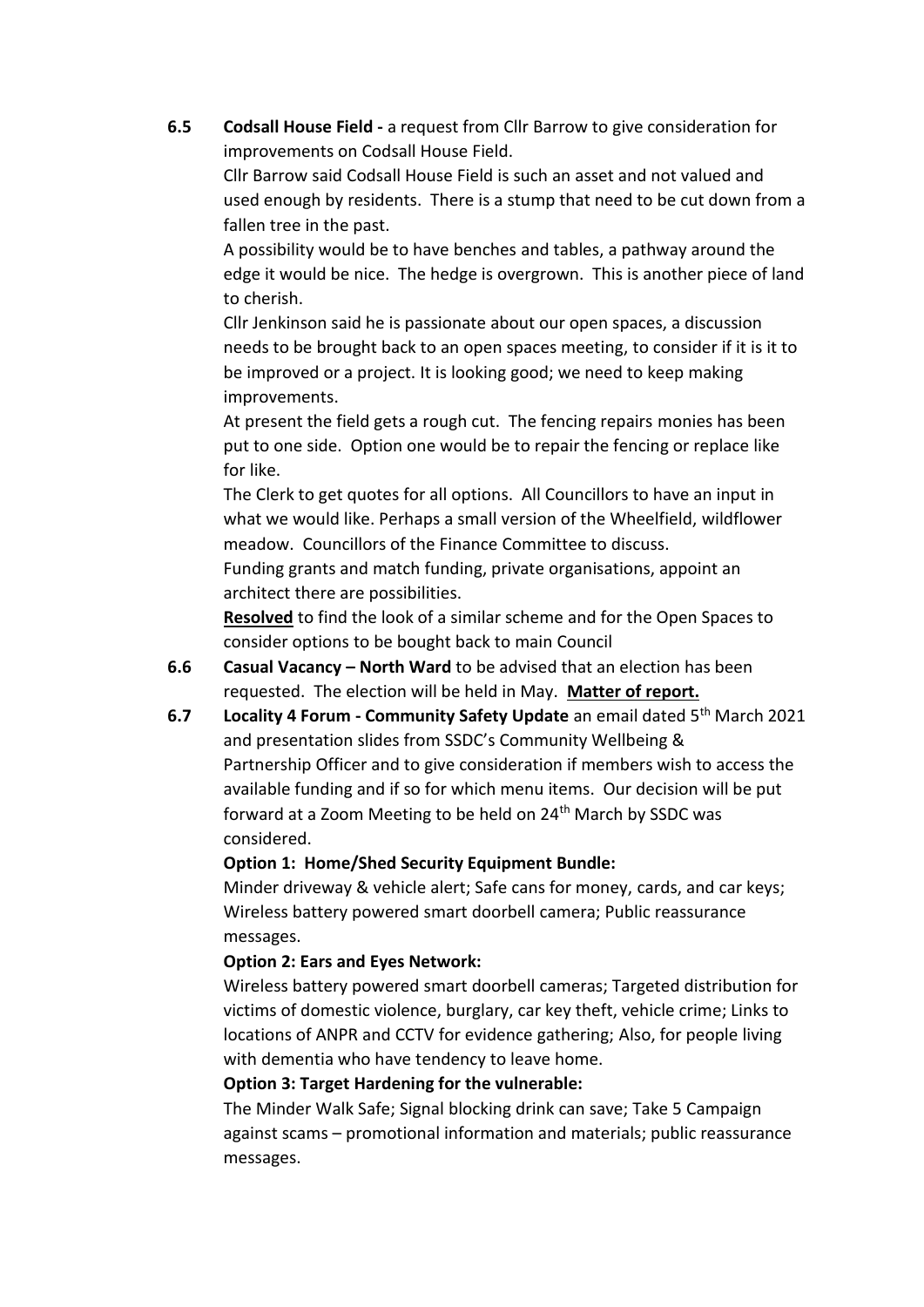**6.5 Codsall House Field -** a request from Cllr Barrow to give consideration for improvements on Codsall House Field.

Cllr Barrow said Codsall House Field is such an asset and not valued and used enough by residents. There is a stump that need to be cut down from a fallen tree in the past.

A possibility would be to have benches and tables, a pathway around the edge it would be nice. The hedge is overgrown. This is another piece of land to cherish.

Cllr Jenkinson said he is passionate about our open spaces, a discussion needs to be brought back to an open spaces meeting, to consider if it is it to be improved or a project. It is looking good; we need to keep making improvements.

At present the field gets a rough cut. The fencing repairs monies has been put to one side. Option one would be to repair the fencing or replace like for like.

The Clerk to get quotes for all options. All Councillors to have an input in what we would like. Perhaps a small version of the Wheelfield, wildflower meadow. Councillors of the Finance Committee to discuss.

Funding grants and match funding, private organisations, appoint an architect there are possibilities.

**Resolved** to find the look of a similar scheme and for the Open Spaces to consider options to be bought back to main Council

- **6.6 Casual Vacancy – North Ward** to be advised that an election has been requested. The election will be held in May. **Matter of report.**
- **6.7 Locality 4 Forum - Community Safety Update** an email dated 5th March 2021 and presentation slides from SSDC's Community Wellbeing & Partnership Officer and to give consideration if members wish to access the available funding and if so for which menu items. Our decision will be put forward at a Zoom Meeting to be held on 24<sup>th</sup> March by SSDC was considered.

## **Option 1: Home/Shed Security Equipment Bundle:**

Minder driveway & vehicle alert; Safe cans for money, cards, and car keys; Wireless battery powered smart doorbell camera; Public reassurance messages.

#### **Option 2: Ears and Eyes Network:**

Wireless battery powered smart doorbell cameras; Targeted distribution for victims of domestic violence, burglary, car key theft, vehicle crime; Links to locations of ANPR and CCTV for evidence gathering; Also, for people living with dementia who have tendency to leave home.

## **Option 3: Target Hardening for the vulnerable:**

The Minder Walk Safe; Signal blocking drink can save; Take 5 Campaign against scams – promotional information and materials; public reassurance messages.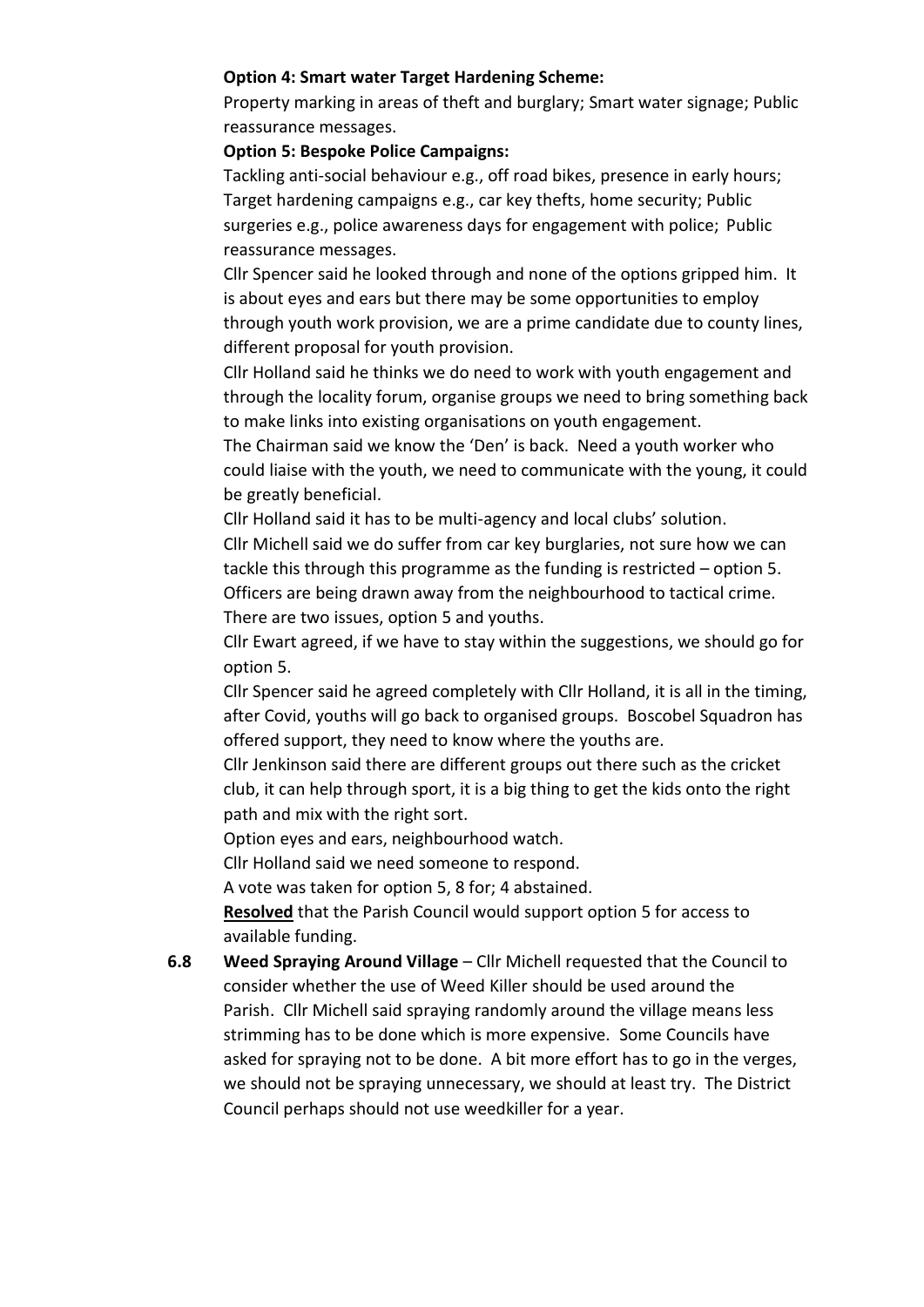#### **Option 4: Smart water Target Hardening Scheme:**

Property marking in areas of theft and burglary; Smart water signage; Public reassurance messages.

#### **Option 5: Bespoke Police Campaigns:**

Tackling anti-social behaviour e.g., off road bikes, presence in early hours; Target hardening campaigns e.g., car key thefts, home security; Public surgeries e.g., police awareness days for engagement with police; Public reassurance messages.

Cllr Spencer said he looked through and none of the options gripped him. It is about eyes and ears but there may be some opportunities to employ through youth work provision, we are a prime candidate due to county lines, different proposal for youth provision.

Cllr Holland said he thinks we do need to work with youth engagement and through the locality forum, organise groups we need to bring something back to make links into existing organisations on youth engagement.

The Chairman said we know the 'Den' is back. Need a youth worker who could liaise with the youth, we need to communicate with the young, it could be greatly beneficial.

Cllr Holland said it has to be multi-agency and local clubs' solution.

Cllr Michell said we do suffer from car key burglaries, not sure how we can tackle this through this programme as the funding is restricted – option 5. Officers are being drawn away from the neighbourhood to tactical crime. There are two issues, option 5 and youths.

Cllr Ewart agreed, if we have to stay within the suggestions, we should go for option 5.

Cllr Spencer said he agreed completely with Cllr Holland, it is all in the timing, after Covid, youths will go back to organised groups. Boscobel Squadron has offered support, they need to know where the youths are.

Cllr Jenkinson said there are different groups out there such as the cricket club, it can help through sport, it is a big thing to get the kids onto the right path and mix with the right sort.

Option eyes and ears, neighbourhood watch.

Cllr Holland said we need someone to respond.

A vote was taken for option 5, 8 for; 4 abstained.

**Resolved** that the Parish Council would support option 5 for access to available funding.

**6.8 Weed Spraying Around Village** – Cllr Michell requested that the Council to consider whether the use of Weed Killer should be used around the Parish. Cllr Michell said spraying randomly around the village means less strimming has to be done which is more expensive. Some Councils have asked for spraying not to be done. A bit more effort has to go in the verges, we should not be spraying unnecessary, we should at least try. The District Council perhaps should not use weedkiller for a year.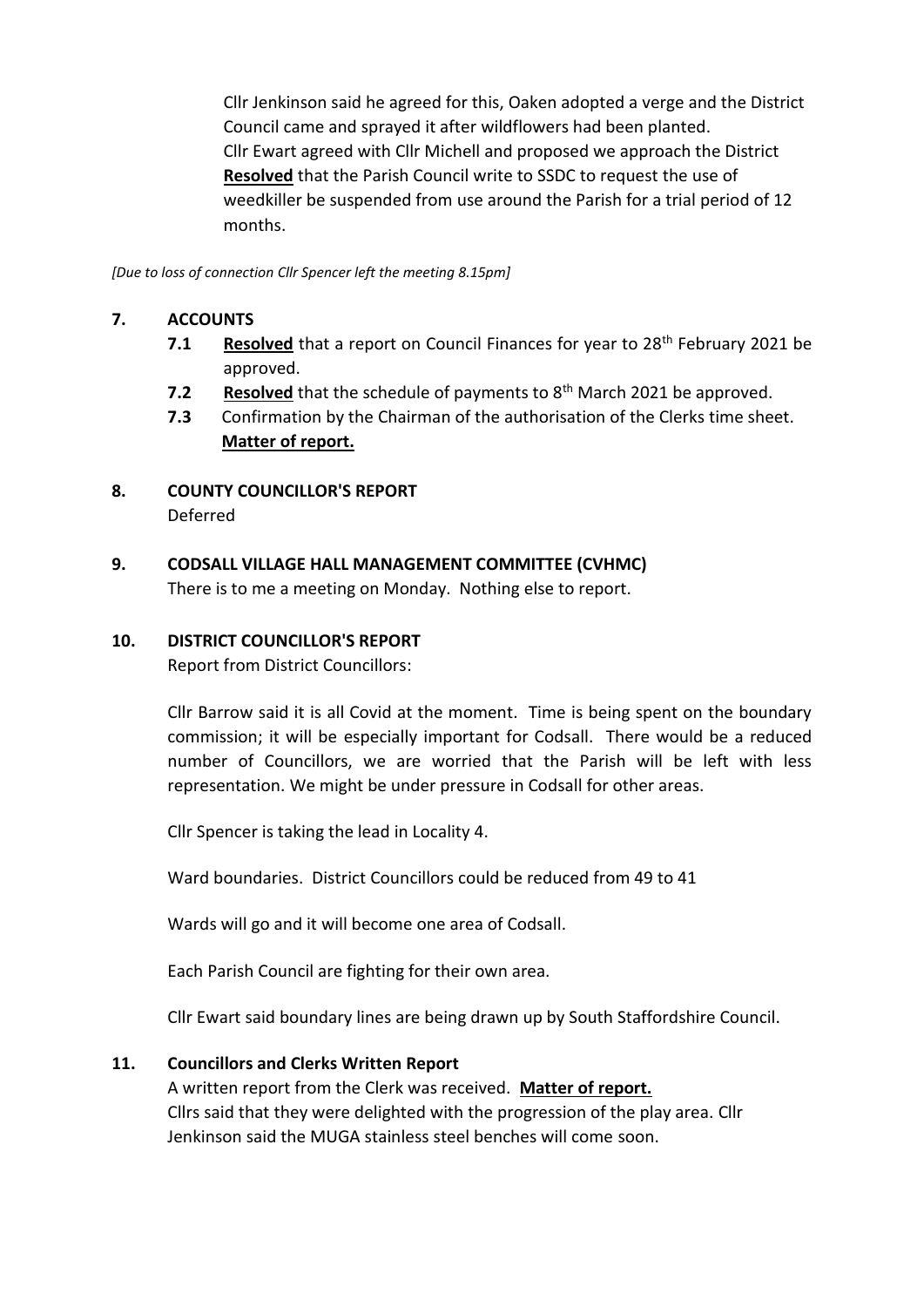Cllr Jenkinson said he agreed for this, Oaken adopted a verge and the District Council came and sprayed it after wildflowers had been planted. Cllr Ewart agreed with Cllr Michell and proposed we approach the District **Resolved** that the Parish Council write to SSDC to request the use of weedkiller be suspended from use around the Parish for a trial period of 12 months.

*[Due to loss of connection Cllr Spencer left the meeting 8.15pm]*

#### **7. ACCOUNTS**

- **7.1 Resolved** that a report on Council Finances for year to 28<sup>th</sup> February 2021 be approved.
- **7.2 Resolved** that the schedule of payments to 8<sup>th</sup> March 2021 be approved.
- **7.3** Confirmation by the Chairman of the authorisation of the Clerks time sheet. **Matter of report.**
- **8. COUNTY COUNCILLOR'S REPORT** Deferred
- **9. CODSALL VILLAGE HALL MANAGEMENT COMMITTEE (CVHMC)**

There is to me a meeting on Monday. Nothing else to report.

#### **10. DISTRICT COUNCILLOR'S REPORT**

Report from District Councillors:

Cllr Barrow said it is all Covid at the moment. Time is being spent on the boundary commission; it will be especially important for Codsall. There would be a reduced number of Councillors, we are worried that the Parish will be left with less representation. We might be under pressure in Codsall for other areas.

Cllr Spencer is taking the lead in Locality 4.

Ward boundaries. District Councillors could be reduced from 49 to 41

Wards will go and it will become one area of Codsall.

Each Parish Council are fighting for their own area.

Cllr Ewart said boundary lines are being drawn up by South Staffordshire Council.

## **11. Councillors and Clerks Written Report**

A written report from the Clerk was received. **Matter of report.** Cllrs said that they were delighted with the progression of the play area. Cllr Jenkinson said the MUGA stainless steel benches will come soon.